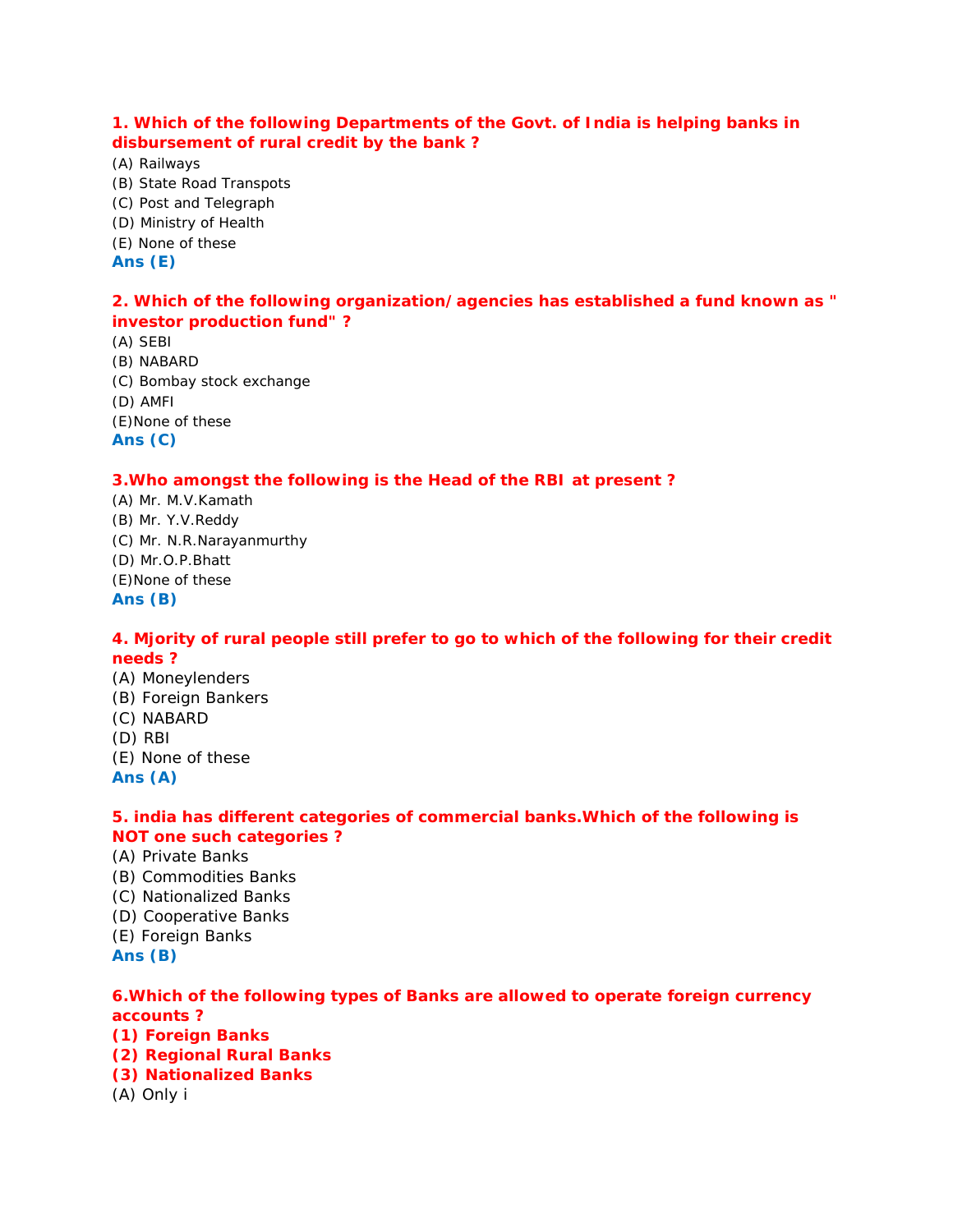**1. Which of the following Departments of the Govt. of India is helping banks in disbursement of rural credit by the bank ?**

(A) Railways (B) State Road Transpots

- (C) Post and Telegraph
- (D) Ministry of Health
- (E) None of these

**Ans (E)**

**2. Which of the following organization/agencies has established a fund known as " investor production fund" ?**

(A) SEBI (B) NABARD (C) Bombay stock exchange (D) AMFI (E)None of these **Ans (C)**

# **3.Who amongst the following is the Head of the RBI at present ?**

(A) Mr. M.V.Kamath (B) Mr. Y.V.Reddy (C) Mr. N.R.Narayanmurthy (D) Mr.O.P.Bhatt (E)None of these **Ans (B)**

**4. Mjority of rural people still prefer to go to which of the following for their credit needs ?**

(A) Moneylenders (B) Foreign Bankers (C) NABARD (D) RBI (E) None of these **Ans (A)**

**5. india has different categories of commercial banks.Which of the following is NOT one such categories ?**

- (A) Private Banks
- (B) Commodities Banks
- (C) Nationalized Banks
- (D) Cooperative Banks
- (E) Foreign Banks
- **Ans (B)**

# **6.Which of the following types of Banks are allowed to operate foreign currency accounts ?**

- **(1) Foreign Banks**
- **(2) Regional Rural Banks**
- **(3) Nationalized Banks**
- (A) Only i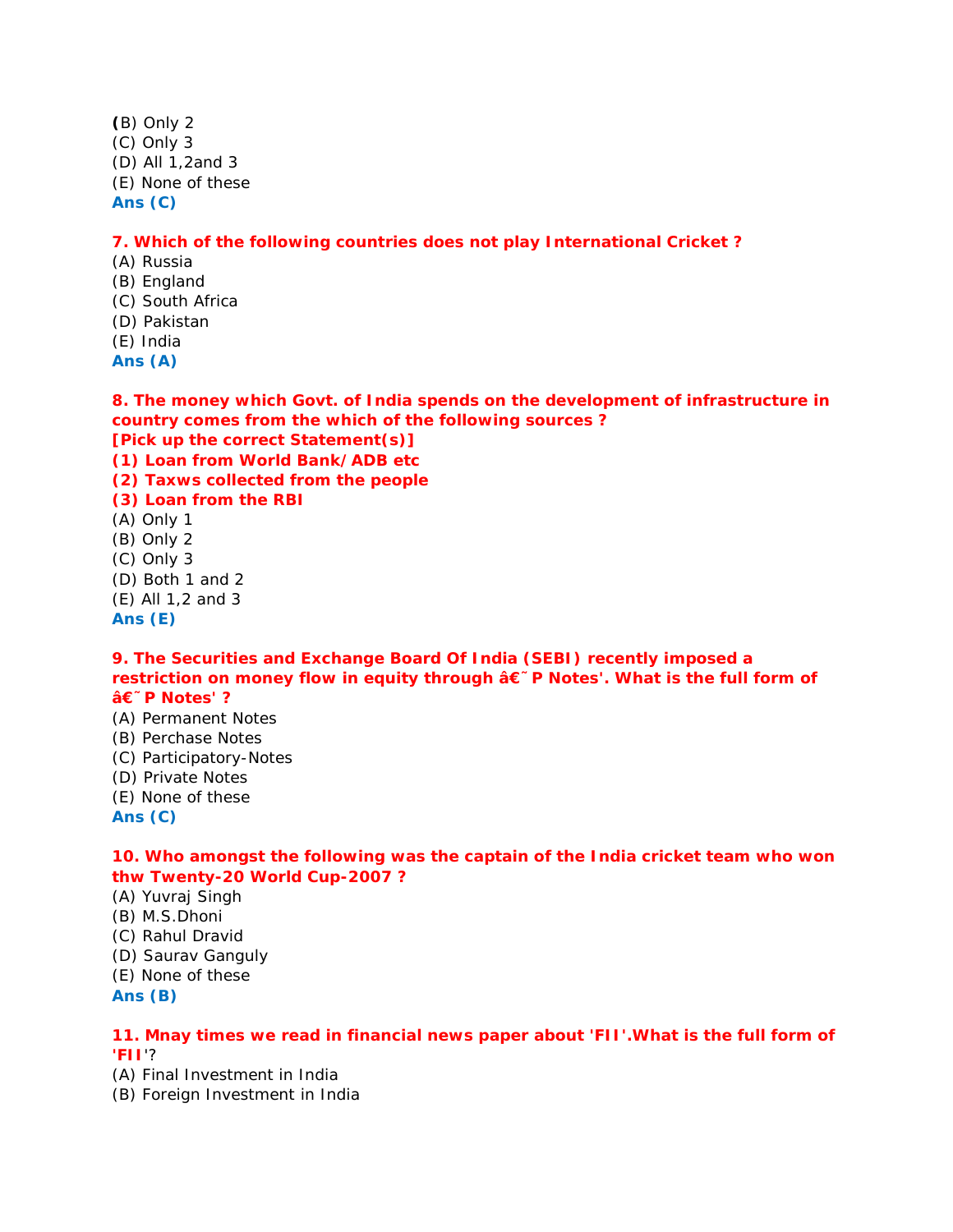**(**B) Only 2 (C) Only 3 (D) All 1,2and 3 (E) None of these **Ans (C)**

**7. Which of the following countries does not play International Cricket ?**

- (A) Russia (B) England (C) South Africa
- (D) Pakistan
- (E) India
- **Ans (A)**

**8. The money which Govt. of India spends on the development of infrastructure in country comes from the which of the following sources ?**

**[Pick up the correct Statement(s)]**

**(1) Loan from World Bank/ADB etc**

**(2) Taxws collected from the people**

- **(3) Loan from the RBI**
- (A) Only 1
- (B) Only 2
- (C) Only 3
- (D) Both 1 and 2
- (E) All 1,2 and 3
- **Ans (E)**

**9. The Securities and Exchange Board Of India (SEBI) recently imposed a** restriction on money flow in equity through â€<sup>~</sup>P Notes'. What is the full form of **'P Notes' ?**

- (A) Permanent Notes
- (B) Perchase Notes
- (C) Participatory-Notes
- (D) Private Notes
- (E) None of these
- **Ans (C)**

**10. Who amongst the following was the captain of the India cricket team who won thw Twenty-20 World Cup-2007 ?**

(A) Yuvraj Singh

- (B) M.S.Dhoni
- (C) Rahul Dravid
- (D) Saurav Ganguly
- (E) None of these

**Ans (B)**

**11. Mnay times we read in financial news paper about 'FII'.What is the full form of 'FII**'?

- (A) Final Investment in India
- (B) Foreign Investment in India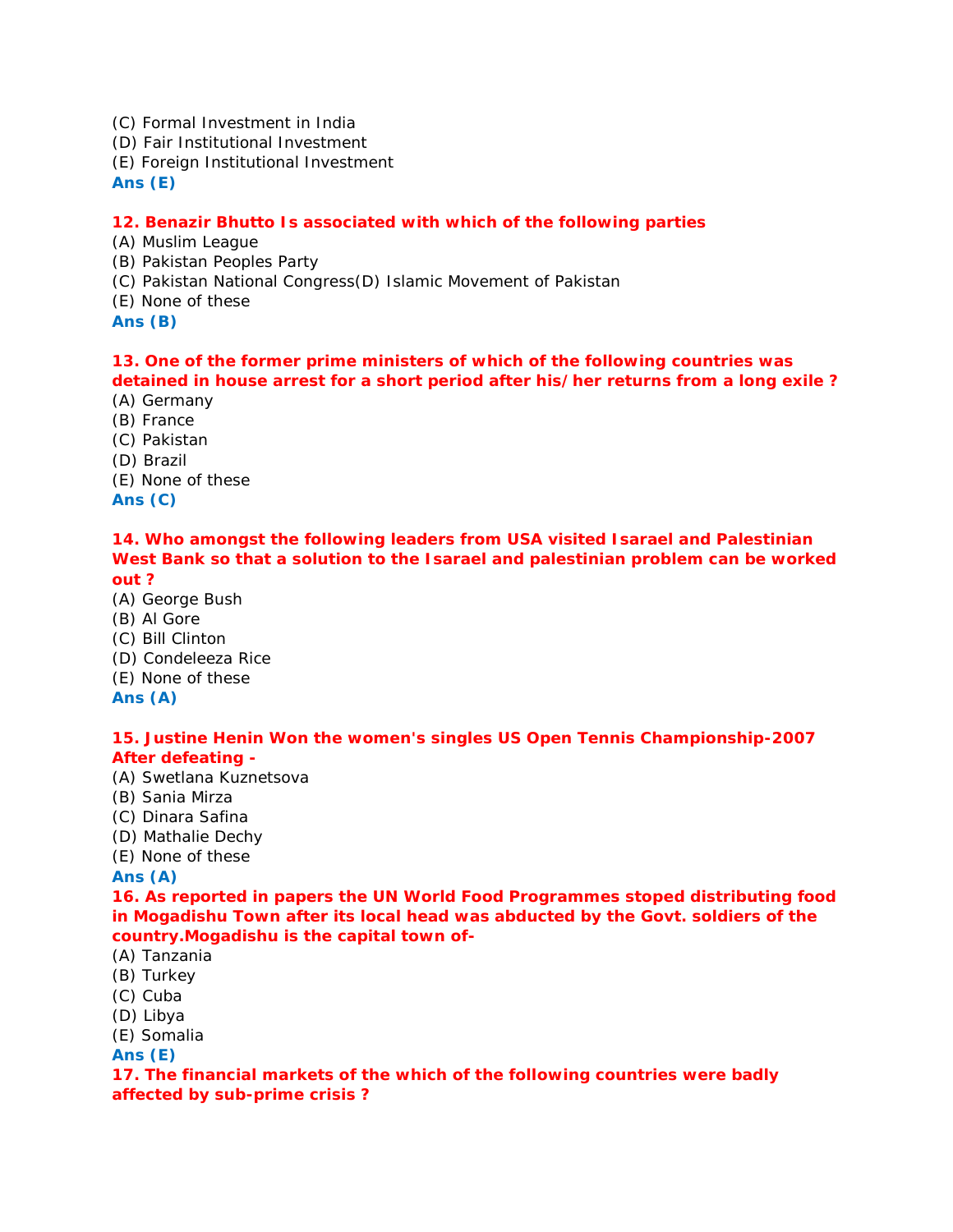(C) Formal Investment in India

(D) Fair Institutional Investment

(E) Foreign Institutional Investment

**Ans (E)**

# **12. Benazir Bhutto Is associated with which of the following parties**

(A) Muslim League

(B) Pakistan Peoples Party

- (C) Pakistan National Congress(D) Islamic Movement of Pakistan
- (E) None of these

**Ans (B)**

# **13. One of the former prime ministers of which of the following countries was**

**detained in house arrest for a short period after his/her returns from a long exile ?** (A) Germany

- (B) France
- (C) Pakistan
- (D) Brazil
- (E) None of these

**Ans (C)**

#### **14. Who amongst the following leaders from USA visited Isarael and Palestinian West Bank so that a solution to the Isarael and palestinian problem can be worked out ?**

- (A) George Bush
- (B) Al Gore
- (C) Bill Clinton
- (D) Condeleeza Rice
- (E) None of these

**Ans (A)**

**15. Justine Henin Won the women's singles US Open Tennis Championship-2007 After defeating -**

- (A) Swetlana Kuznetsova
- (B) Sania Mirza
- (C) Dinara Safina
- (D) Mathalie Dechy
- (E) None of these

**Ans (A)**

**16. As reported in papers the UN World Food Programmes stoped distributing food in Mogadishu Town after its local head was abducted by the Govt. soldiers of the country.Mogadishu is the capital town of-**

- (A) Tanzania
- (B) Turkey
- (C) Cuba
- (D) Libya
- (E) Somalia

**Ans (E)**

**17. The financial markets of the which of the following countries were badly affected by sub-prime crisis ?**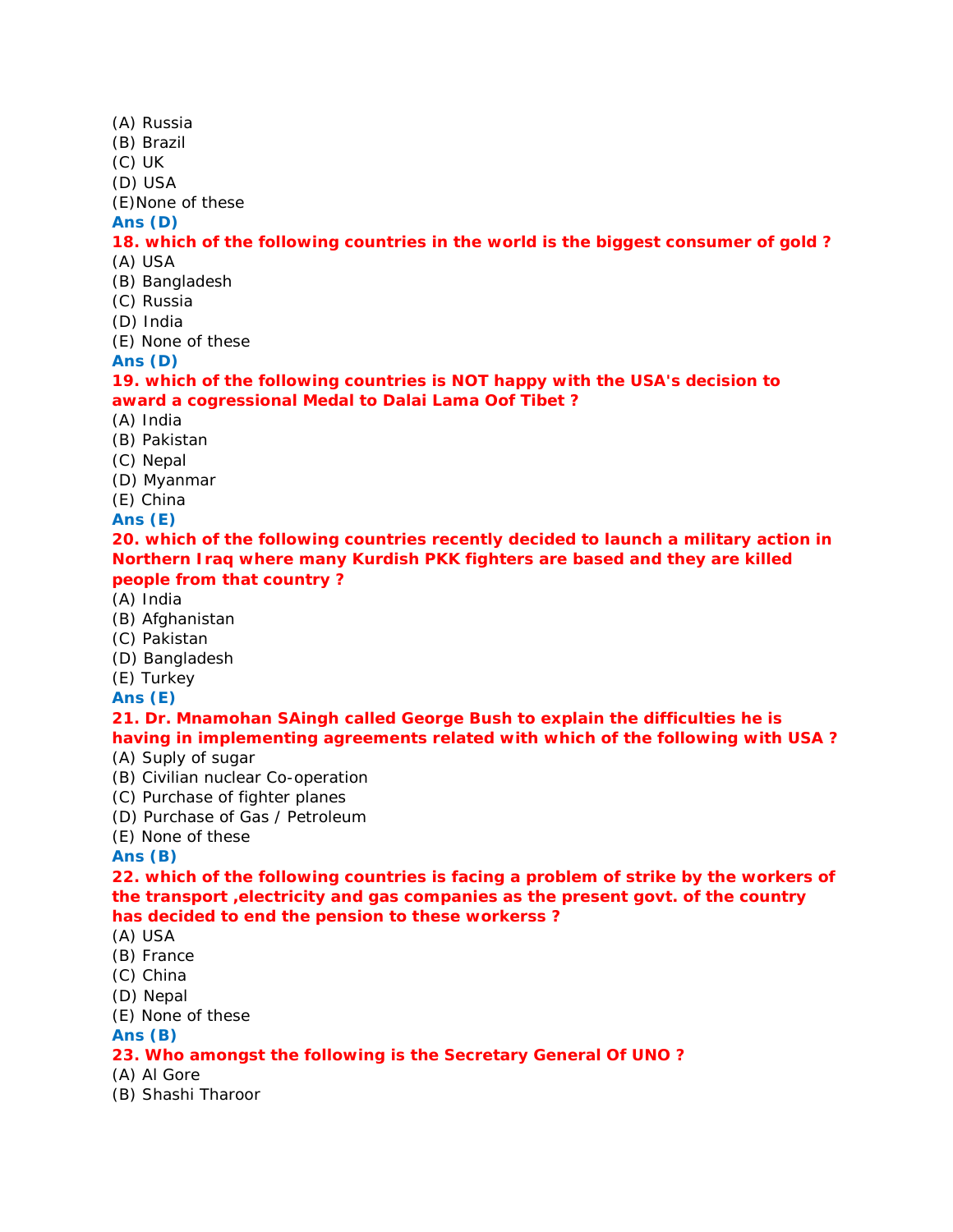- (A) Russia
- (B) Brazil
- (C) UK
- (D) USA

(E)None of these

**Ans (D)**

# **18. which of the following countries in the world is the biggest consumer of gold ?** (A) USA

- (B) Bangladesh
- (C) Russia
- (D) India
- (E) None of these

**Ans (D)**

**19. which of the following countries is NOT happy with the USA's decision to award a cogressional Medal to Dalai Lama Oof Tibet ?**

- (A) India
- (B) Pakistan
- (C) Nepal
- (D) Myanmar
- (E) China
- **Ans (E)**

**20. which of the following countries recently decided to launch a military action in Northern Iraq where many Kurdish PKK fighters are based and they are killed people from that country ?**

- (A) India
- (B) Afghanistan
- (C) Pakistan
- (D) Bangladesh
- (E) Turkey
- **Ans (E)**

**21. Dr. Mnamohan SAingh called George Bush to explain the difficulties he is having in implementing agreements related with which of the following with USA ?**

- (A) Suply of sugar
- (B) Civilian nuclear Co-operation
- (C) Purchase of fighter planes
- (D) Purchase of Gas / Petroleum
- (E) None of these

**Ans (B)**

**22. which of the following countries is facing a problem of strike by the workers of the transport ,electricity and gas companies as the present govt. of the country has decided to end the pension to these workerss ?**

- (A) USA
- (B) France
- (C) China
- (D) Nepal
- (E) None of these
- **Ans (B)**

# **23. Who amongst the following is the Secretary General Of UNO ?**

- (A) Al Gore
- (B) Shashi Tharoor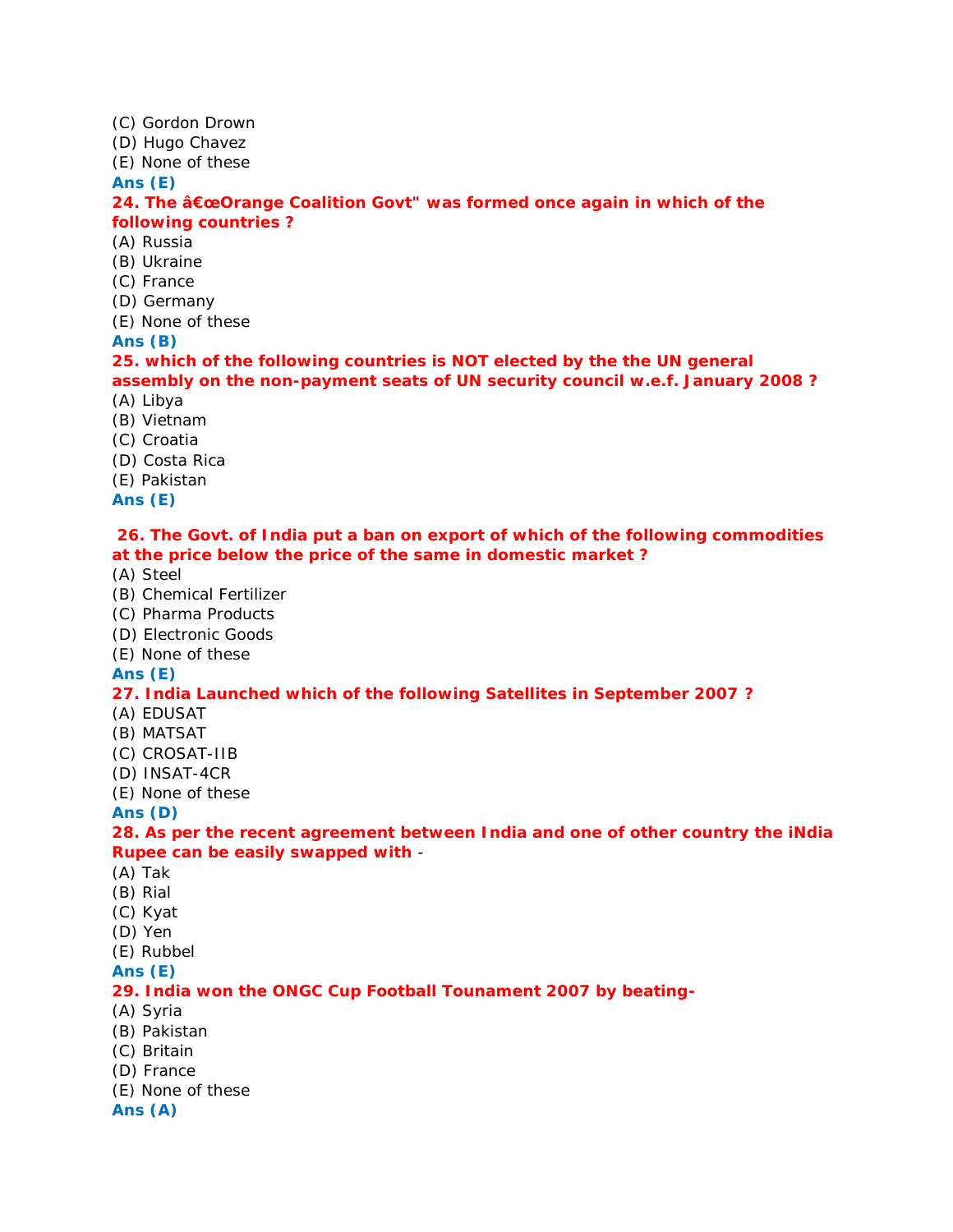(C) Gordon Drown

(D) Hugo Chavez

(E) None of these

**Ans (E)**

**24. The "Orange Coalition Govt" was formed once again in which of the following countries ?**

(A) Russia

(B) Ukraine

(C) France

(D) Germany

(E) None of these

**Ans (B)**

**25. which of the following countries is NOT elected by the the UN general assembly on the non-payment seats of UN security council w.e.f. January 2008 ?** (A) Libya

- (B) Vietnam
- (C) Croatia
- (D) Costa Rica

(E) Pakistan

**Ans (E)**

**26. The Govt. of India put a ban on export of which of the following commodities at the price below the price of the same in domestic market ?**

- (A) Steel
- (B) Chemical Fertilizer
- (C) Pharma Products
- (D) Electronic Goods
- (E) None of these

**Ans (E)**

# **27. India Launched which of the following Satellites in September 2007 ?**

- (A) EDUSAT
- (B) MATSAT
- (C) CROSAT-IIB
- (D) INSAT-4CR
- (E) None of these

**Ans (D)**

**28. As per the recent agreement between India and one of other country the iNdia Rupee can be easily swapped with** -

- (A) Tak
- (B) Rial
- (C) Kyat
- (D) Yen
- (E) Rubbel
- **Ans (E)**

# **29. India won the ONGC Cup Football Tounament 2007 by beating-**

- (A) Syria
- (B) Pakistan
- (C) Britain
- (D) France
- (E) None of these

**Ans (A)**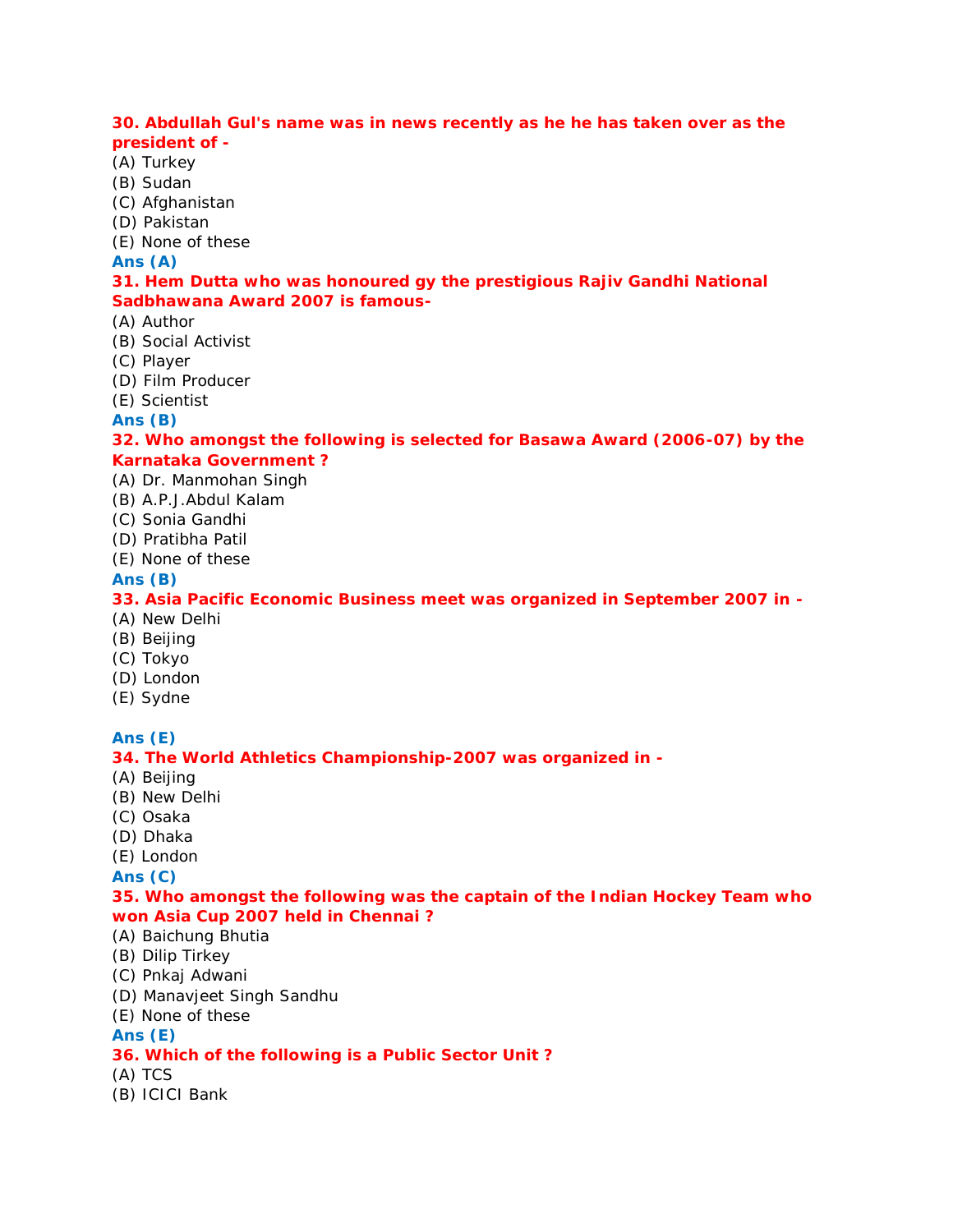### **30. Abdullah Gul's name was in news recently as he he has taken over as the president of -**

- (A) Turkey
- (B) Sudan
- (C) Afghanistan
- (D) Pakistan
- (E) None of these

#### **Ans (A)**

# **31. Hem Dutta who was honoured gy the prestigious Rajiv Gandhi National Sadbhawana Award 2007 is famous-**

- (A) Author
- (B) Social Activist
- (C) Player
- (D) Film Producer
- (E) Scientist

**Ans (B)**

**32. Who amongst the following is selected for Basawa Award (2006-07) by the Karnataka Government ?**

#### (A) Dr. Manmohan Singh

- (B) A.P.J.Abdul Kalam
- (C) Sonia Gandhi
- (D) Pratibha Patil
- (E) None of these

# **Ans (B)**

**33. Asia Pacific Economic Business meet was organized in September 2007 in -**

- (A) New Delhi
- (B) Beijing
- (C) Tokyo
- (D) London
- (E) Sydne

# **Ans (E)**

**34. The World Athletics Championship-2007 was organized in -**

- (A) Beijing
- (B) New Delhi
- (C) Osaka
- (D) Dhaka
- (E) London

**Ans (C)**

**35. Who amongst the following was the captain of the Indian Hockey Team who won Asia Cup 2007 held in Chennai ?**

- (A) Baichung Bhutia
- (B) Dilip Tirkey
- (C) Pnkaj Adwani
- (D) Manavjeet Singh Sandhu
- (E) None of these

# **Ans (E)**

- **36. Which of the following is a Public Sector Unit ?**
- (A) TCS
- (B) ICICI Bank